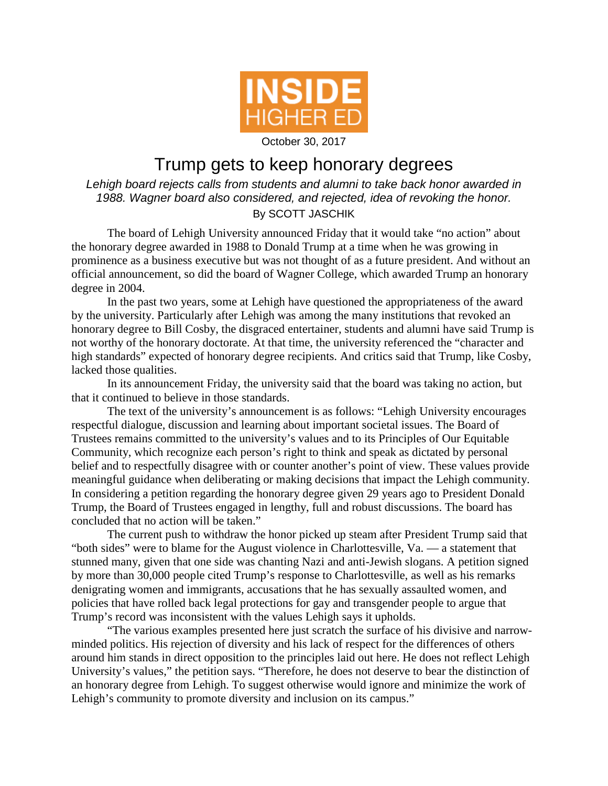

October 30, 2017

## Trump gets to keep honorary degrees

*Lehigh board rejects calls from students and alumni to take back honor awarded in 1988. Wagner board also considered, and rejected, idea of revoking the honor.* By SCOTT JASCHIK

The board of Lehigh University announced Friday that it would take "no action" about the honorary degree awarded in 1988 to Donald Trump at a time when he was growing in prominence as a business executive but was not thought of as a future president. And without an official announcement, so did the board of Wagner College, which awarded Trump an honorary degree in 2004.

In the past two years, some at Lehigh have questioned the appropriateness of the award by the university. Particularly after Lehigh was among the many institutions that revoked an honorary degree to Bill Cosby, the disgraced entertainer, students and alumni have said Trump is not worthy of the honorary doctorate. At that time, the university referenced the "character and high standards" expected of honorary degree recipients. And critics said that Trump, like Cosby, lacked those qualities.

In its announcement Friday, the university said that the board was taking no action, but that it continued to believe in those standards.

The text of the university's announcement is as follows: "Lehigh University encourages respectful dialogue, discussion and learning about important societal issues. The Board of Trustees remains committed to the university's values and to its Principles of Our Equitable Community, which recognize each person's right to think and speak as dictated by personal belief and to respectfully disagree with or counter another's point of view. These values provide meaningful guidance when deliberating or making decisions that impact the Lehigh community. In considering a petition regarding the honorary degree given 29 years ago to President Donald Trump, the Board of Trustees engaged in lengthy, full and robust discussions. The board has concluded that no action will be taken."

The current push to withdraw the honor picked up steam after President Trump said that "both sides" were to blame for the August violence in Charlottesville, Va. — a statement that stunned many, given that one side was chanting Nazi and anti-Jewish slogans. A petition signed by more than 30,000 people cited Trump's response to Charlottesville, as well as his remarks denigrating women and immigrants, accusations that he has sexually assaulted women, and policies that have rolled back legal protections for gay and transgender people to argue that Trump's record was inconsistent with the values Lehigh says it upholds.

"The various examples presented here just scratch the surface of his divisive and narrowminded politics. His rejection of diversity and his lack of respect for the differences of others around him stands in direct opposition to the principles laid out here. He does not reflect Lehigh University's values," the petition says. "Therefore, he does not deserve to bear the distinction of an honorary degree from Lehigh. To suggest otherwise would ignore and minimize the work of Lehigh's community to promote diversity and inclusion on its campus."